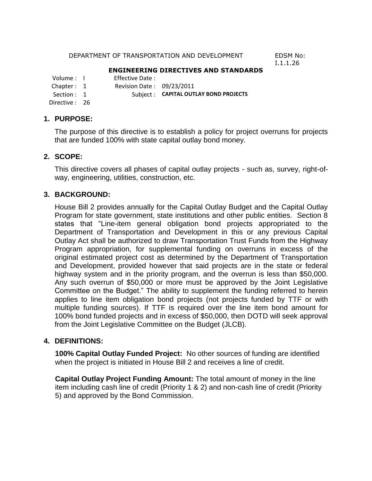#### DEPARTMENT OF TRANSPORTATION AND DEVELOPMENT EDSM No:

I.1.1.26

#### **ENGINEERING DIRECTIVES AND STANDARDS**

Volume : I Effective Date :

Chapter: 1 Revision Date: 09/23/2011

Section : 1 Subject : **CAPITAL OUTLAY BOND PROJECTS** 

Directive : 26

#### **1. PURPOSE:**

The purpose of this directive is to establish a policy for project overruns for projects that are funded 100% with state capital outlay bond money.

### **2. SCOPE:**

This directive covers all phases of capital outlay projects - such as, survey, right-ofway, engineering, utilities, construction, etc.

### **3. BACKGROUND:**

House Bill 2 provides annually for the Capital Outlay Budget and the Capital Outlay Program for state government, state institutions and other public entities. Section 8 states that "Line-item general obligation bond projects appropriated to the Department of Transportation and Development in this or any previous Capital Outlay Act shall be authorized to draw Transportation Trust Funds from the Highway Program appropriation, for supplemental funding on overruns in excess of the original estimated project cost as determined by the Department of Transportation and Development, provided however that said projects are in the state or federal highway system and in the priority program, and the overrun is less than \$50,000. Any such overrun of \$50,000 or more must be approved by the Joint Legislative Committee on the Budget." The ability to supplement the funding referred to herein applies to line item obligation bond projects (not projects funded by TTF or with multiple funding sources). If TTF is required over the line item bond amount for 100% bond funded projects and in excess of \$50,000, then DOTD will seek approval from the Joint Legislative Committee on the Budget (JLCB).

### **4. DEFINITIONS:**

**100% Capital Outlay Funded Project:** No other sources of funding are identified when the project is initiated in House Bill 2 and receives a line of credit.

**Capital Outlay Project Funding Amount:** The total amount of money in the line item including cash line of credit (Priority 1 & 2) and non-cash line of credit (Priority 5) and approved by the Bond Commission.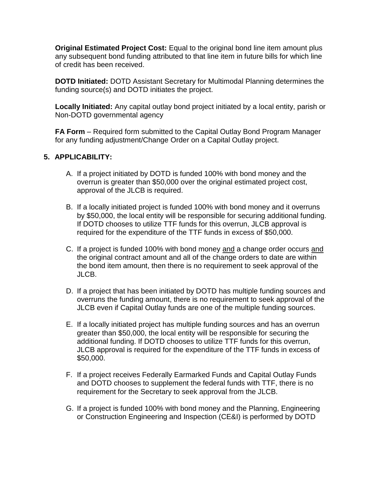**Original Estimated Project Cost:** Equal to the original bond line item amount plus any subsequent bond funding attributed to that line item in future bills for which line of credit has been received.

**DOTD Initiated:** DOTD Assistant Secretary for Multimodal Planning determines the funding source(s) and DOTD initiates the project.

**Locally Initiated:** Any capital outlay bond project initiated by a local entity, parish or Non-DOTD governmental agency

**FA Form** – Required form submitted to the Capital Outlay Bond Program Manager for any funding adjustment/Change Order on a Capital Outlay project.

# **5. APPLICABILITY:**

- A. If a project initiated by DOTD is funded 100% with bond money and the overrun is greater than \$50,000 over the original estimated project cost, approval of the JLCB is required.
- B. If a locally initiated project is funded 100% with bond money and it overruns by \$50,000, the local entity will be responsible for securing additional funding. If DOTD chooses to utilize TTF funds for this overrun, JLCB approval is required for the expenditure of the TTF funds in excess of \$50,000.
- C. If a project is funded 100% with bond money and a change order occurs and the original contract amount and all of the change orders to date are within the bond item amount, then there is no requirement to seek approval of the JLCB.
- D. If a project that has been initiated by DOTD has multiple funding sources and overruns the funding amount, there is no requirement to seek approval of the JLCB even if Capital Outlay funds are one of the multiple funding sources.
- E. If a locally initiated project has multiple funding sources and has an overrun greater than \$50,000, the local entity will be responsible for securing the additional funding. If DOTD chooses to utilize TTF funds for this overrun, JLCB approval is required for the expenditure of the TTF funds in excess of \$50,000.
- F. If a project receives Federally Earmarked Funds and Capital Outlay Funds and DOTD chooses to supplement the federal funds with TTF, there is no requirement for the Secretary to seek approval from the JLCB.
- G. If a project is funded 100% with bond money and the Planning, Engineering or Construction Engineering and Inspection (CE&I) is performed by DOTD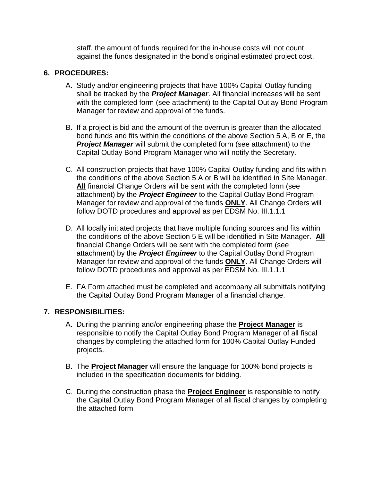staff, the amount of funds required for the in-house costs will not count against the funds designated in the bond's original estimated project cost.

### **6. PROCEDURES:**

- A. Study and/or engineering projects that have 100% Capital Outlay funding shall be tracked by the *Project Manager*. All financial increases will be sent with the completed form (see attachment) to the Capital Outlay Bond Program Manager for review and approval of the funds.
- B. If a project is bid and the amount of the overrun is greater than the allocated bond funds and fits within the conditions of the above Section 5 A, B or E, the **Project Manager** will submit the completed form (see attachment) to the Capital Outlay Bond Program Manager who will notify the Secretary.
- C. All construction projects that have 100% Capital Outlay funding and fits within the conditions of the above Section 5 A or B will be identified in Site Manager. **All** financial Change Orders will be sent with the completed form (see attachment) by the *Project Engineer* to the Capital Outlay Bond Program Manager for review and approval of the funds **ONLY**. All Change Orders will follow DOTD procedures and approval as per EDSM No. III.1.1.1
- D. All locally initiated projects that have multiple funding sources and fits within the conditions of the above Section 5 E will be identified in Site Manager. **All** financial Change Orders will be sent with the completed form (see attachment) by the *Project Engineer* to the Capital Outlay Bond Program Manager for review and approval of the funds **ONLY**. All Change Orders will follow DOTD procedures and approval as per EDSM No. III.1.1.1
- E. FA Form attached must be completed and accompany all submittals notifying the Capital Outlay Bond Program Manager of a financial change.

## **7. RESPONSIBILITIES:**

- A. During the planning and/or engineering phase the **Project Manager** is responsible to notify the Capital Outlay Bond Program Manager of all fiscal changes by completing the attached form for 100% Capital Outlay Funded projects.
- B. The **Project Manager** will ensure the language for 100% bond projects is included in the specification documents for bidding.
- C. During the construction phase the **Project Engineer** is responsible to notify the Capital Outlay Bond Program Manager of all fiscal changes by completing the attached form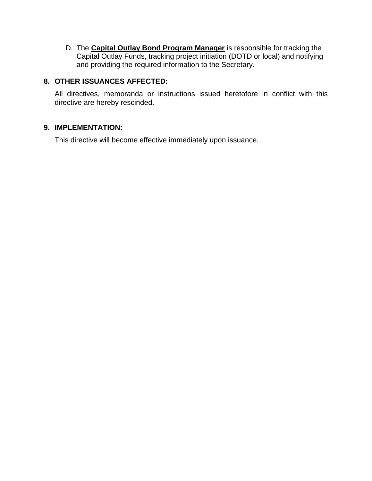D. The **Capital Outlay Bond Program Manager** is responsible for tracking the Capital Outlay Funds, tracking project initiation (DOTD or local) and notifying and providing the required information to the Secretary.

## **8. OTHER ISSUANCES AFFECTED:**

All directives, memoranda or instructions issued heretofore in conflict with this directive are hereby rescinded.

### **9. IMPLEMENTATION:**

This directive will become effective immediately upon issuance.